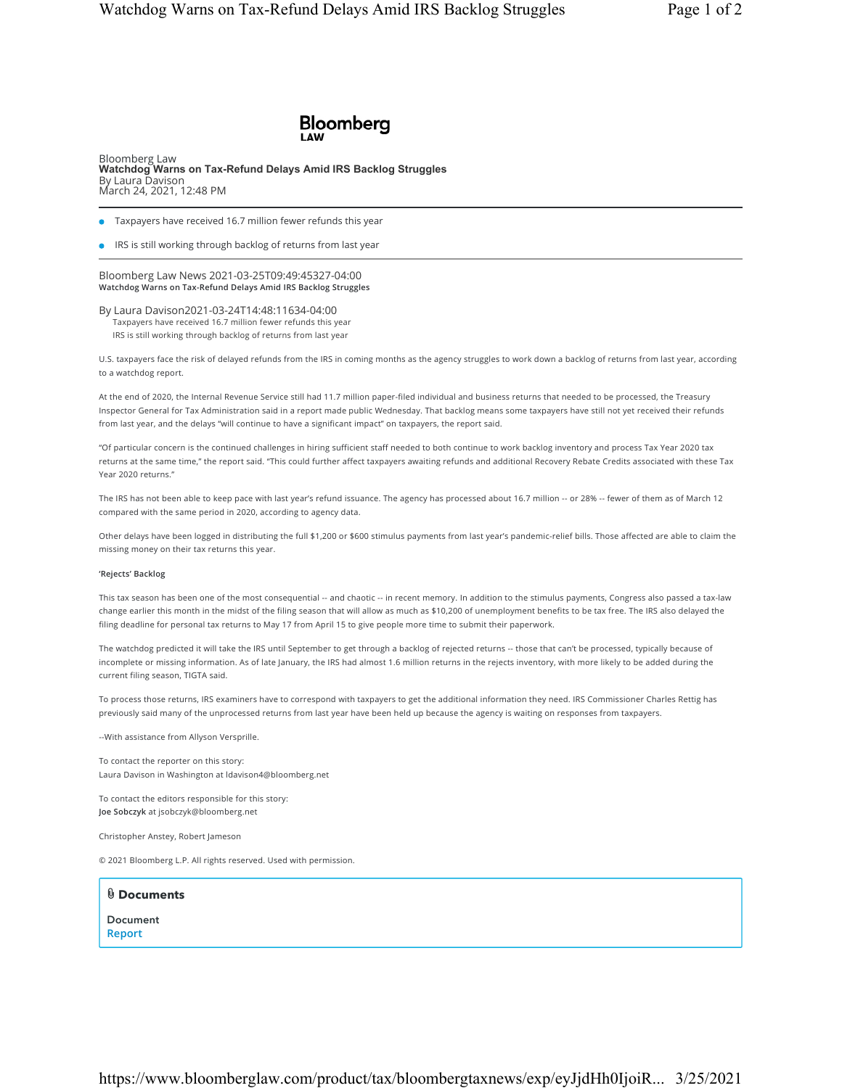## **Bloomberg**

Bloomberg Law **Watchdog Warns on Tax-Refund Delays Amid IRS Backlog Struggles** By Laura Davison March 24, 2021, 12:48 PM

- **Taxpayers have received 16.7 million fewer refunds this year**
- **IRS** is still working through backlog of returns from last year

Bloomberg Law News 2021-03-25T09:49:45327-04:00 **Watchdog Warns on Tax-Refund Delays Amid IRS Backlog Struggles**

By Laura Davison2021-03-24T14:48:11634-04:00 Taxpayers have received 16.7 million fewer refunds this year IRS is still working through backlog of returns from last year

U.S. taxpayers face the risk of delayed refunds from the IRS in coming months as the agency struggles to work down a backlog of returns from last year, according to a watchdog report.

At the end of 2020, the Internal Revenue Service still had 11.7 million paper-filed individual and business returns that needed to be processed, the Treasury Inspector General for Tax Administration said in a report made public Wednesday. That backlog means some taxpayers have still not yet received their refunds from last year, and the delays "will continue to have a significant impact" on taxpayers, the report said.

"Of particular concern is the continued challenges in hiring sufficient staff needed to both continue to work backlog inventory and process Tax Year 2020 tax returns at the same time," the report said. "This could further affect taxpayers awaiting refunds and additional Recovery Rebate Credits associated with these Tax Year 2020 returns."

The IRS has not been able to keep pace with last year's refund issuance. The agency has processed about 16.7 million -- or 28% -- fewer of them as of March 12 compared with the same period in 2020, according to agency data.

Other delays have been logged in distributing the full \$1,200 or \$600 stimulus payments from last year's pandemic-relief bills. Those affected are able to claim the missing money on their tax returns this year.

## **'Rejects' Backlog**

This tax season has been one of the most consequential -- and chaotic -- in recent memory. In addition to the stimulus payments, Congress also passed a tax-law change earlier this month in the midst of the filing season that will allow as much as \$10,200 of unemployment benefits to be tax free. The IRS also delayed the filing deadline for personal tax returns to May 17 from April 15 to give people more time to submit their paperwork.

The watchdog predicted it will take the IRS until September to get through a backlog of rejected returns -- those that can't be processed, typically because of incomplete or missing information. As of late January, the IRS had almost 1.6 million returns in the rejects inventory, with more likely to be added during the current filing season, TIGTA said.

To process those returns, IRS examiners have to correspond with taxpayers to get the additional information they need. IRS Commissioner Charles Rettig has previously said many of the unprocessed returns from last year have been held up because the agency is waiting on responses from taxpayers.

--With assistance from Allyson Versprille.

To contact the reporter on this story: Laura Davison in Washington at ldavison4@bloomberg.net

To contact the editors responsible for this story: **Joe Sobczyk** at jsobczyk@bloomberg.net

Christopher Anstey, Robert Jameson

© 2021 Bloomberg L.P. All rights reserved. Used with permission.

**Documents**  Document **Report** 

https://www.bloomberglaw.com/product/tax/bloombergtaxnews/exp/eyJjdHh0IjoiR... 3/25/2021